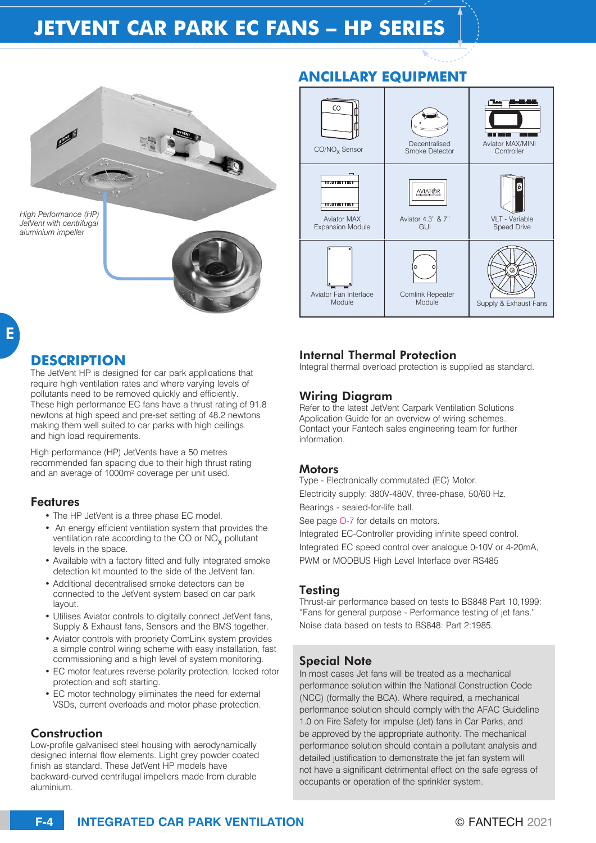# **JETVENT CAR PARK EC FANS – HP SERIES**



*JetVent with centrifugal aluminium impeller*

# **ANCILLARY EQUIPMENT**



## **DESCRIPTION**

The JetVent HP is designed for car park applications that require high ventilation rates and where varying levels of pollutants need to be removed quickly and efficiently. These high performance EC fans have a thrust rating of 91.8 newtons at high speed and pre-set setting of 48.2 newtons making them well suited to car parks with high ceilings and high load requirements.

High performance (HP) JetVents have a 50 metres recommended fan spacing due to their high thrust rating and an average of 1000m² coverage per unit used.

#### Features

- The HP JetVent is a three phase EC model.
- An energy efficient ventilation system that provides the ventilation rate according to the CO or  $NO<sub>x</sub>$  pollutant levels in the space.
- Available with a factory fitted and fully integrated smoke detection kit mounted to the side of the JetVent fan.
- Additional decentralised smoke detectors can be connected to the JetVent system based on car park layout.
- Utilises Aviator controls to digitally connect JetVent fans, Supply & Exhaust fans, Sensors and the BMS together.
- Aviator controls with propriety ComLink system provides a simple control wiring scheme with easy installation, fast commissioning and a high level of system monitoring.
- EC motor features reverse polarity protection, locked rotor protection and soft starting.
- EC motor technology eliminates the need for external VSDs, current overloads and motor phase protection.

#### Construction

Low-profile galvanised steel housing with aerodynamically designed internal flow elements. Light grey powder coated finish as standard. These JetVent HP models have backward-curved centrifugal impellers made from durable aluminium.

## Internal Thermal Protection

Integral thermal overload protection is supplied as standard.

#### Wiring Diagram

Refer to the latest JetVent Carpark Ventilation Solutions Application Guide for an overview of wiring schemes. Contact your Fantech sales engineering team for further information.

#### **Motors**

Type - Electronically commutated (EC) Motor. Electricity supply: 380V-480V, three-phase, 50/60 Hz. Bearings - sealed-for-life ball.

See page O-7 for details on motors.

Integrated EC-Controller providing infinite speed control. Integrated EC speed control over analogue 0-10V or 4-20mA, PWM or MODBUS High Level Interface over RS485

## Testing

Thrust-air performance based on tests to BS848 Part 10,1999: "Fans for general purpose - Performance testing of jet fans." Noise data based on tests to BS848: Part 2:1985.

## Special Note

In most cases Jet fans will be treated as a mechanical performance solution within the National Construction Code (NCC) (formally the BCA). Where required, a mechanical performance solution should comply with the AFAC Guideline 1.0 on Fire Safety for impulse (Jet) fans in Car Parks, and be approved by the appropriate authority. The mechanical performance solution should contain a pollutant analysis and detailed justification to demonstrate the jet fan system will not have a significant detrimental effect on the safe egress of occupants or operation of the sprinkler system.